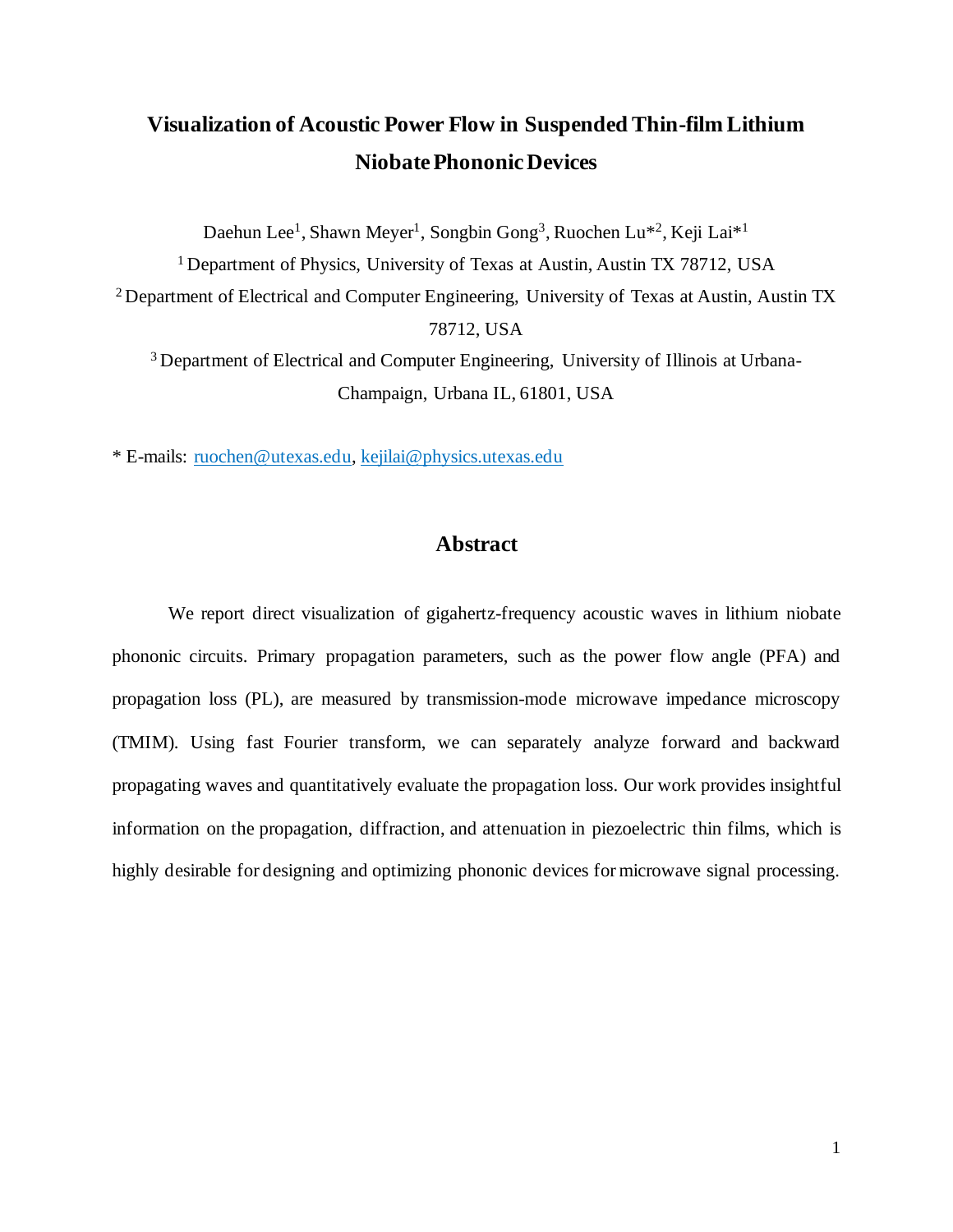# **Visualization of Acoustic Power Flow in Suspended Thin-film Lithium NiobatePhononic Devices**

Daehun Lee<sup>1</sup>, Shawn Meyer<sup>1</sup>, Songbin Gong<sup>3</sup>, Ruochen Lu<sup>\*2</sup>, Keji Lai<sup>\*1</sup> <sup>1</sup> Department of Physics, University of Texas at Austin, Austin TX 78712, USA <sup>2</sup> Department of Electrical and Computer Engineering, University of Texas at Austin, Austin TX 78712, USA <sup>3</sup> Department of Electrical and Computer Engineering, University of Illinois at Urbana-

Champaign, Urbana IL, 61801, USA

\* E-mails: [ruochen@utexas.edu,](mailto:ruochen@utexas.edu) [kejilai@physics.utexas.edu](mailto:kejilai@physics.utexas.edu) 

## **Abstract**

We report direct visualization of gigahertz-frequency acoustic waves in lithium niobate phononic circuits. Primary propagation parameters, such as the power flow angle (PFA) and propagation loss (PL), are measured by transmission-mode microwave impedance microscopy (TMIM). Using fast Fourier transform, we can separately analyze forward and backward propagating waves and quantitatively evaluate the propagation loss. Our work provides insightful information on the propagation, diffraction, and attenuation in piezoelectric thin films, which is highly desirable for designing and optimizing phononic devices for microwave signal processing.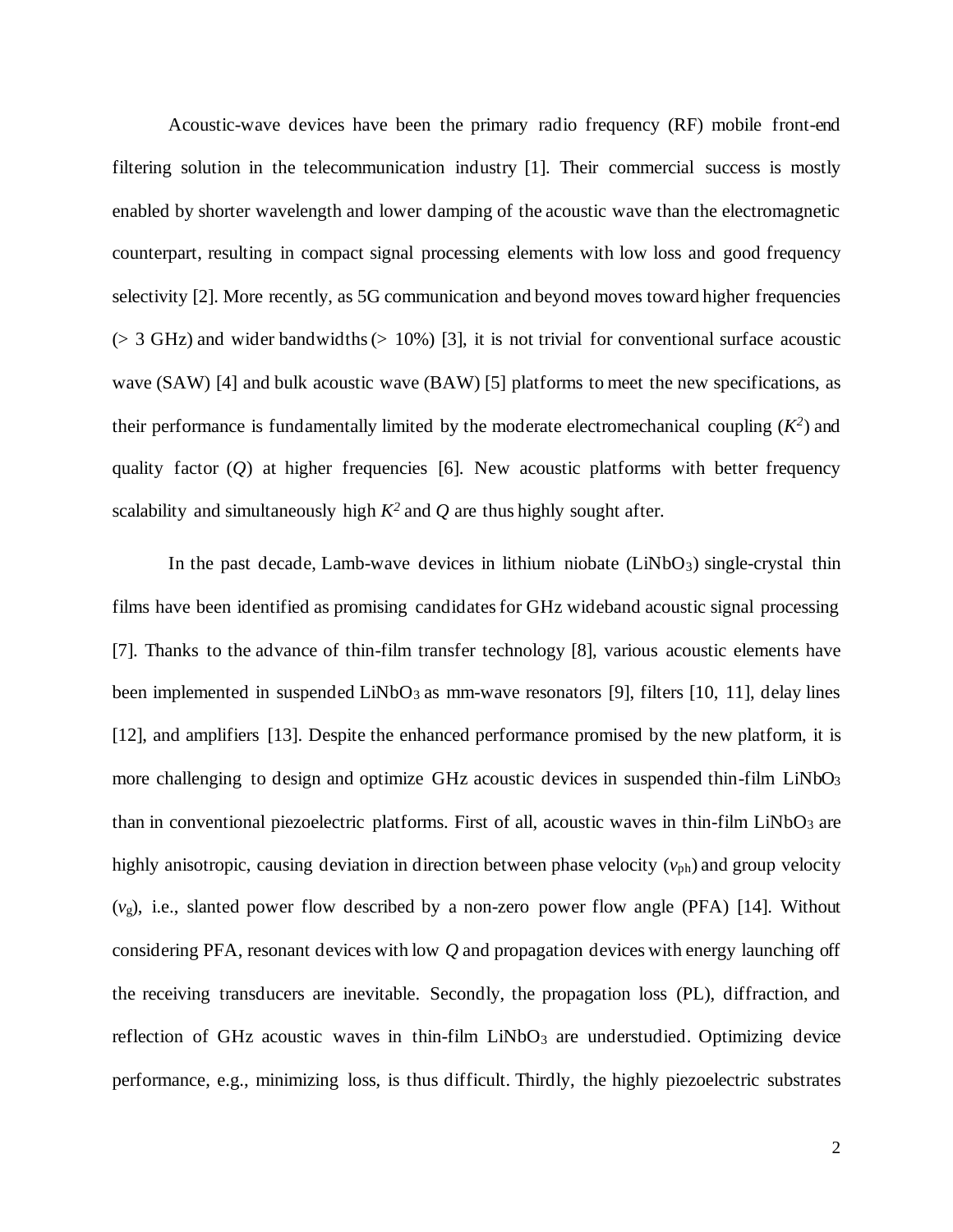Acoustic-wave devices have been the primary radio frequency (RF) mobile front-end filtering solution in the telecommunication industry [1]. Their commercial success is mostly enabled by shorter wavelength and lower damping of the acoustic wave than the electromagnetic counterpart, resulting in compact signal processing elements with low loss and good frequency selectivity [2]. More recently, as 5G communication and beyond moves toward higher frequencies  $(> 3 \text{ GHz})$  and wider bandwidths  $(> 10\%)$  [3], it is not trivial for conventional surface acoustic wave (SAW) [4] and bulk acoustic wave (BAW) [5] platforms to meet the new specifications, as their performance is fundamentally limited by the moderate electromechanical coupling  $(K^2)$  and quality factor  $(Q)$  at higher frequencies [6]. New acoustic platforms with better frequency scalability and simultaneously high  $K^2$  and  $Q$  are thus highly sought after.

In the past decade, Lamb-wave devices in lithium niobate  $(LiNbO<sub>3</sub>)$  single-crystal thin films have been identified as promising candidates for GHz wideband acoustic signal processing [7]. Thanks to the advance of thin-film transfer technology [8], various acoustic elements have been implemented in suspended  $LiNbO<sub>3</sub>$  as mm-wave resonators [9], filters [10, 11], delay lines [12], and amplifiers [13]. Despite the enhanced performance promised by the new platform, it is more challenging to design and optimize GHz acoustic devices in suspended thin-film LiNbO<sub>3</sub> than in conventional piezoelectric platforms. First of all, acoustic waves in thin-film  $LiNbO<sub>3</sub>$  are highly anisotropic, causing deviation in direction between phase velocity  $(v_{ph})$  and group velocity (*v*g), i.e., slanted power flow described by a non-zero power flow angle (PFA) [14]. Without considering PFA, resonant devices with low *Q* and propagation devices with energy launching off the receiving transducers are inevitable. Secondly, the propagation loss (PL), diffraction, and reflection of GHz acoustic waves in thin-film  $LiNbO<sub>3</sub>$  are understudied. Optimizing device performance, e.g., minimizing loss, is thus difficult. Thirdly, the highly piezoelectric substrates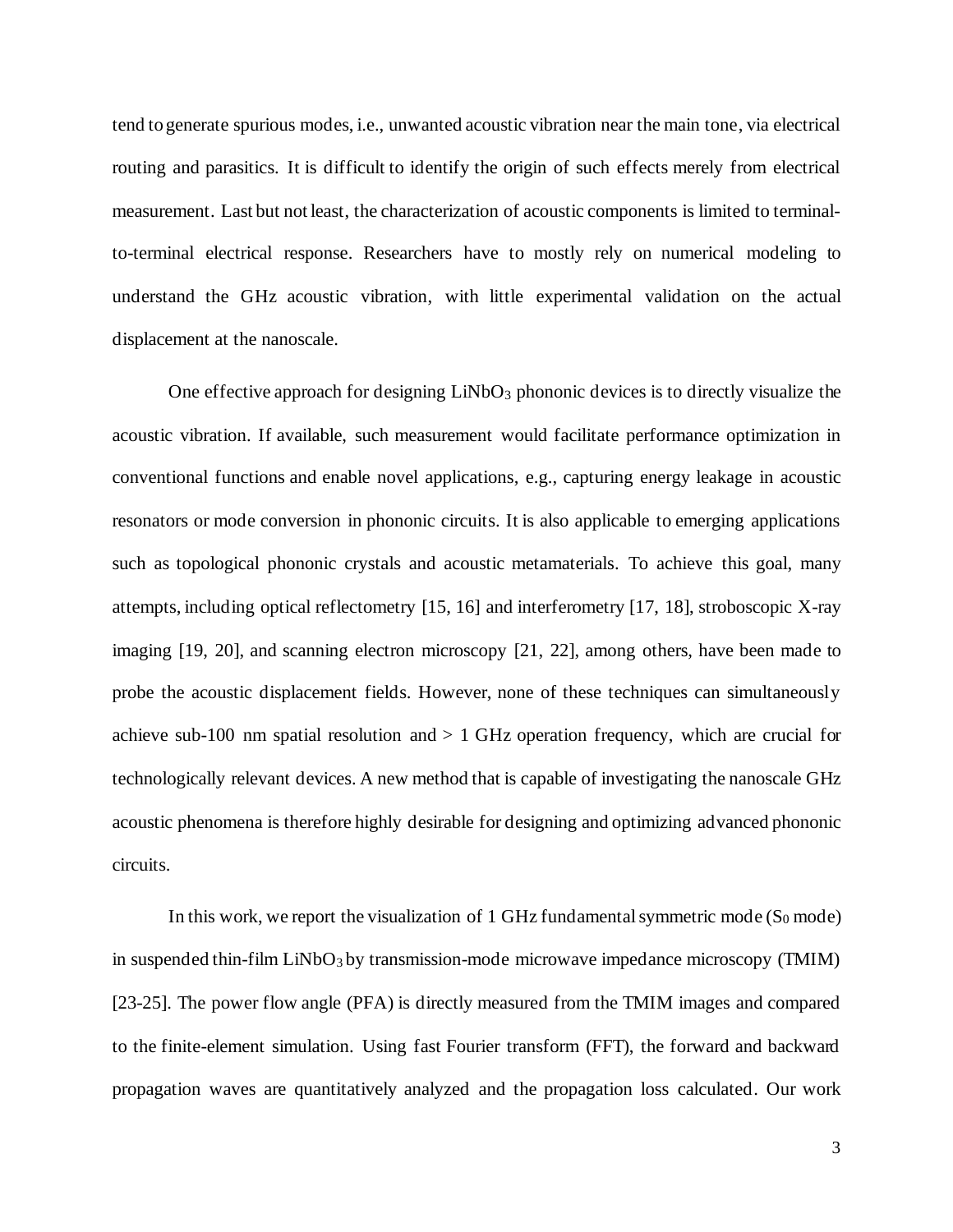tend to generate spurious modes, i.e., unwanted acoustic vibration near the main tone, via electrical routing and parasitics. It is difficult to identify the origin of such effects merely from electrical measurement. Last but not least, the characterization of acoustic components is limited to terminalto-terminal electrical response. Researchers have to mostly rely on numerical modeling to understand the GHz acoustic vibration, with little experimental validation on the actual displacement at the nanoscale.

One effective approach for designing  $LiNbO<sub>3</sub>$  phononic devices is to directly visualize the acoustic vibration. If available, such measurement would facilitate performance optimization in conventional functions and enable novel applications, e.g., capturing energy leakage in acoustic resonators or mode conversion in phononic circuits. It is also applicable to emerging applications such as topological phononic crystals and acoustic metamaterials. To achieve this goal, many attempts, including optical reflectometry [15, 16] and interferometry [17, 18], stroboscopic X-ray imaging [19, 20], and scanning electron microscopy [21, 22], among others, have been made to probe the acoustic displacement fields. However, none of these techniques can simultaneously achieve sub-100 nm spatial resolution and  $> 1$  GHz operation frequency, which are crucial for technologically relevant devices. A new method that is capable of investigating the nanoscale GHz acoustic phenomena is therefore highly desirable for designing and optimizing advanced phononic circuits.

In this work, we report the visualization of 1 GHz fundamental symmetric mode  $(S_0 \text{ mode})$ in suspended thin-film  $LiNbO<sub>3</sub>$  by transmission-mode microwave impedance microscopy (TMIM) [23-25]. The power flow angle (PFA) is directly measured from the TMIM images and compared to the finite-element simulation. Using fast Fourier transform (FFT), the forward and backward propagation waves are quantitatively analyzed and the propagation loss calculated. Our work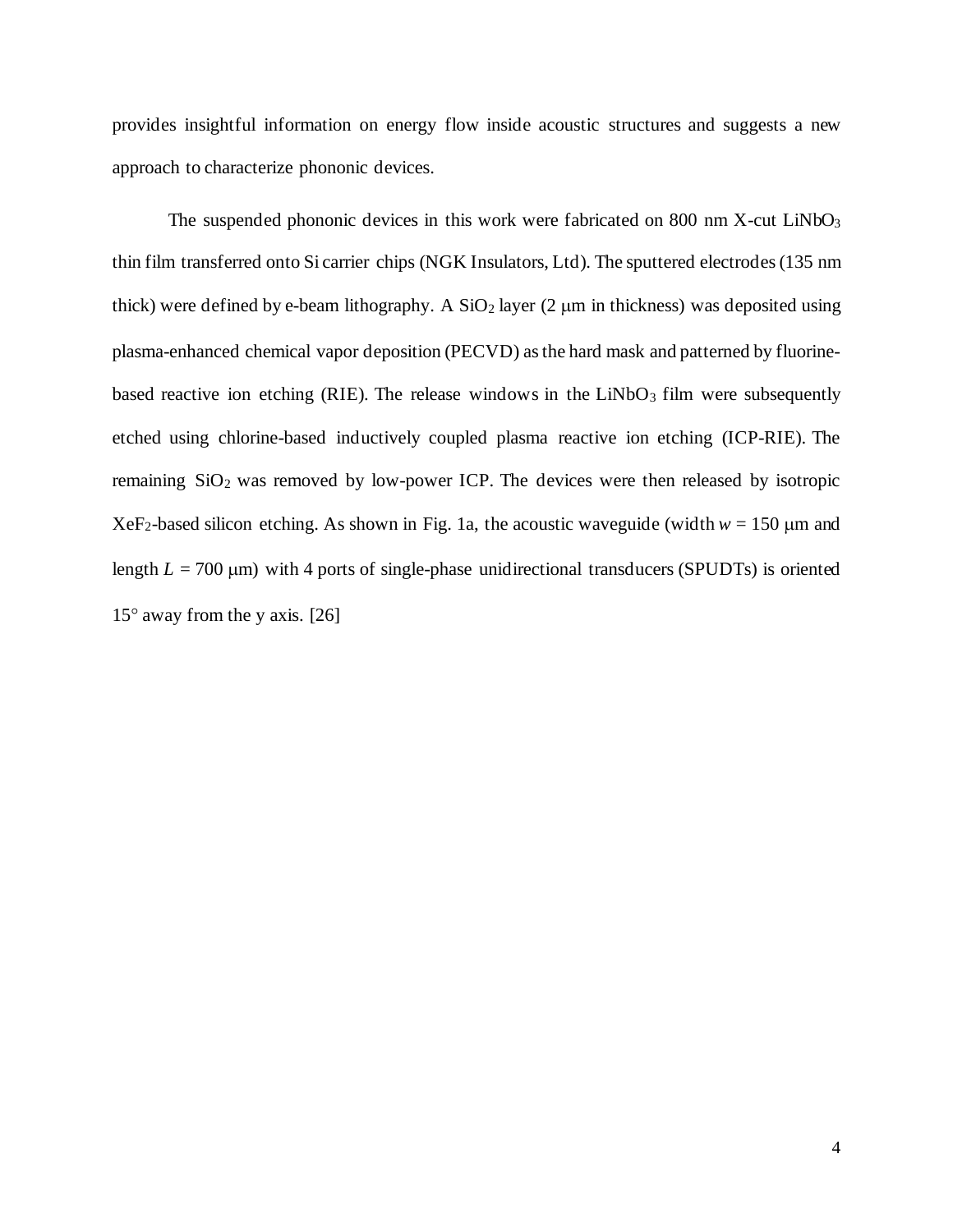provides insightful information on energy flow inside acoustic structures and suggests a new approach to characterize phononic devices.

The suspended phononic devices in this work were fabricated on 800 nm  $X$ -cut LiNbO<sub>3</sub> thin film transferred onto Si carrier chips (NGK Insulators, Ltd). The sputtered electrodes (135 nm thick) were defined by e-beam lithography. A  $SiO<sub>2</sub>$  layer (2  $\mu$ m in thickness) was deposited using plasma-enhanced chemical vapor deposition (PECVD) as the hard mask and patterned by fluorinebased reactive ion etching (RIE). The release windows in the LiNbO<sub>3</sub> film were subsequently etched using chlorine-based inductively coupled plasma reactive ion etching (ICP-RIE). The remaining  $SiO<sub>2</sub>$  was removed by low-power ICP. The devices were then released by isotropic XeF<sub>2</sub>-based silicon etching. As shown in Fig. 1a, the acoustic waveguide (width  $w = 150 \mu m$  and length  $L = 700 \text{ }\mu\text{m}$ ) with 4 ports of single-phase unidirectional transducers (SPUDTs) is oriented  $15^{\circ}$  away from the y axis. [26]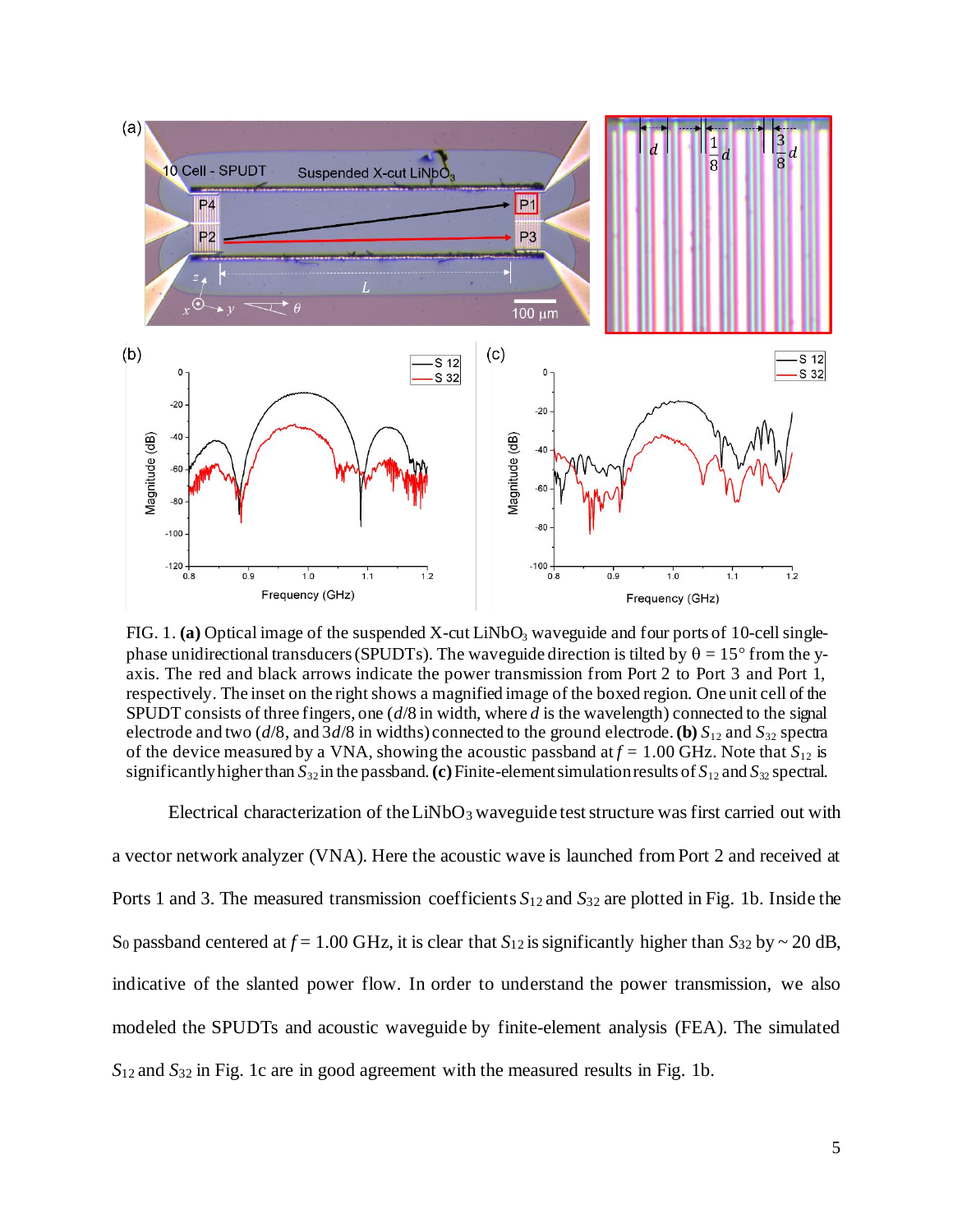

FIG. 1. (a) Optical image of the suspended X-cut LiNbO<sub>3</sub> waveguide and four ports of 10-cell singlephase unidirectional transducers (SPUDTs). The waveguide direction is tilted by  $\theta = 15^{\circ}$  from the yaxis. The red and black arrows indicate the power transmission from Port 2 to Port 3 and Port 1, respectively. The inset on the right shows a magnified image of the boxed region. One unit cell of the SPUDT consists of three fingers, one (*d*/8 in width, where *d* is the wavelength) connected to the signal electrode and two ( $d/8$ , and  $3d/8$  in widths) connected to the ground electrode. **(b)**  $S_{12}$  and  $S_{32}$  spectra of the device measured by a VNA, showing the acoustic passband at  $f = 1.00$  GHz. Note that  $S_{12}$  is significantly higher than  $S_{32}$  in the passband. (c) Finite-element simulation results of  $S_{12}$  and  $S_{32}$  spectral.

Electrical characterization of the LiNbO<sub>3</sub> waveguide test structure was first carried out with a vector network analyzer (VNA). Here the acoustic wave is launched from Port 2 and received at Ports 1 and 3. The measured transmission coefficients *S*12 and *S*<sup>32</sup> are plotted in Fig. 1b. Inside the S<sub>0</sub> passband centered at  $f = 1.00$  GHz, it is clear that  $S_{12}$  is significantly higher than  $S_{32}$  by  $\sim 20$  dB, indicative of the slanted power flow. In order to understand the power transmission, we also modeled the SPUDTs and acoustic waveguide by finite-element analysis (FEA). The simulated *S*12 and *S*<sup>32</sup> in Fig. 1c are in good agreement with the measured results in Fig. 1b.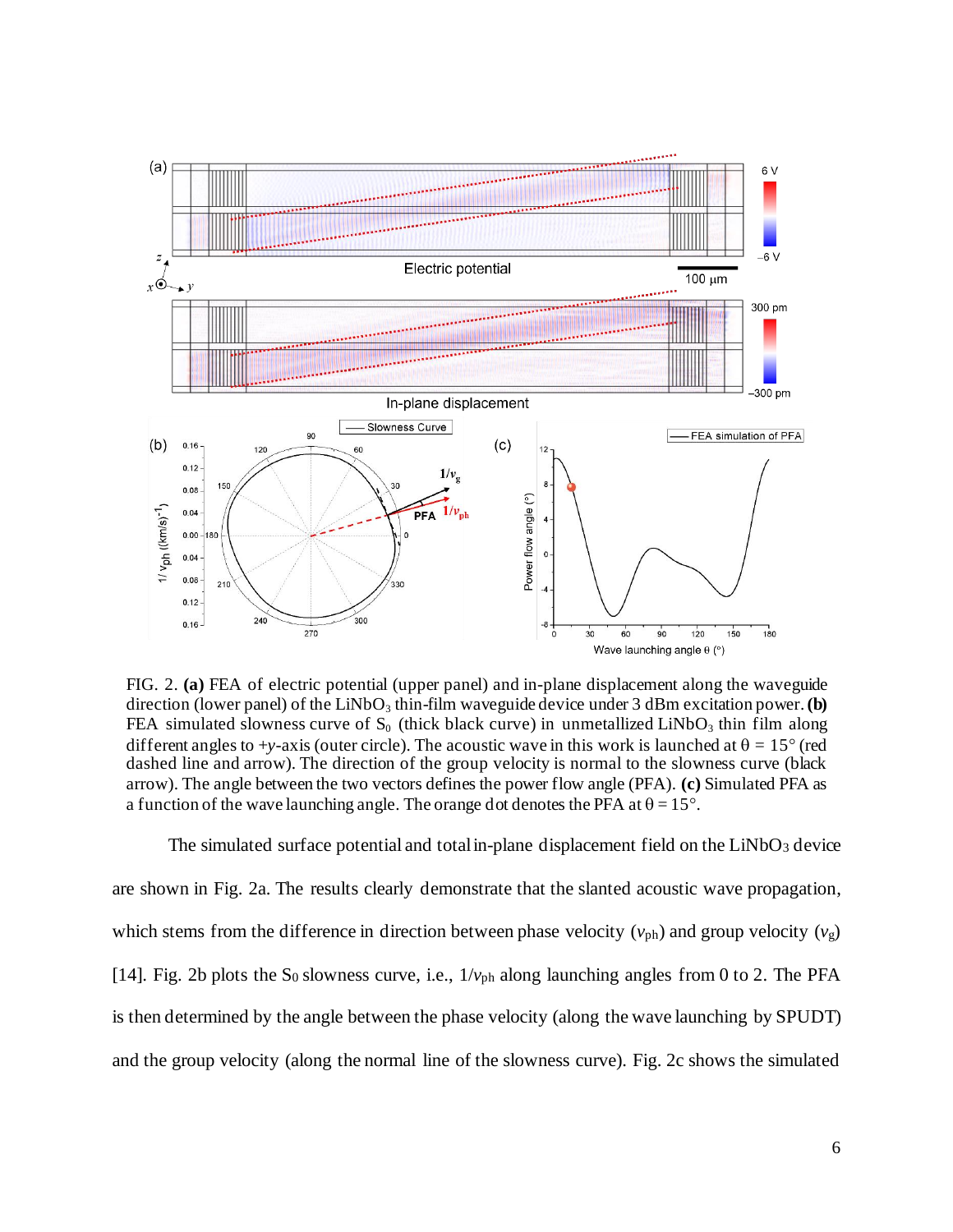

FIG. 2. **(a)** FEA of electric potential (upper panel) and in-plane displacement along the waveguide direction (lower panel) of the LiNbO<sub>3</sub> thin-film waveguide device under 3 dBm excitation power. **(b)** FEA simulated slowness curve of  $S_0$  (thick black curve) in unmetallized LiNbO<sub>3</sub> thin film along different angles to +*y*-axis (outer circle). The acoustic wave in this work is launched at  $\theta = 15^{\circ}$  (red dashed line and arrow). The direction of the group velocity is normal to the slowness curve (black arrow). The angle between the two vectors defines the power flow angle (PFA). **(c)** Simulated PFA as a function of the wave launching angle. The orange dot denotes the PFA at  $\theta = 15^{\circ}$ .

The simulated surface potential and total in-plane displacement field on the  $LiNbO<sub>3</sub>$  device are shown in Fig. 2a. The results clearly demonstrate that the slanted acoustic wave propagation, which stems from the difference in direction between phase velocity  $(v_{ph})$  and group velocity  $(v_g)$ [14]. Fig. 2b plots the S<sub>0</sub> slowness curve, i.e.,  $1/v_{ph}$  along launching angles from 0 to 2. The PFA is then determined by the angle between the phase velocity (along the wave launching by SPUDT) and the group velocity (along the normal line of the slowness curve). Fig. 2c shows the simulated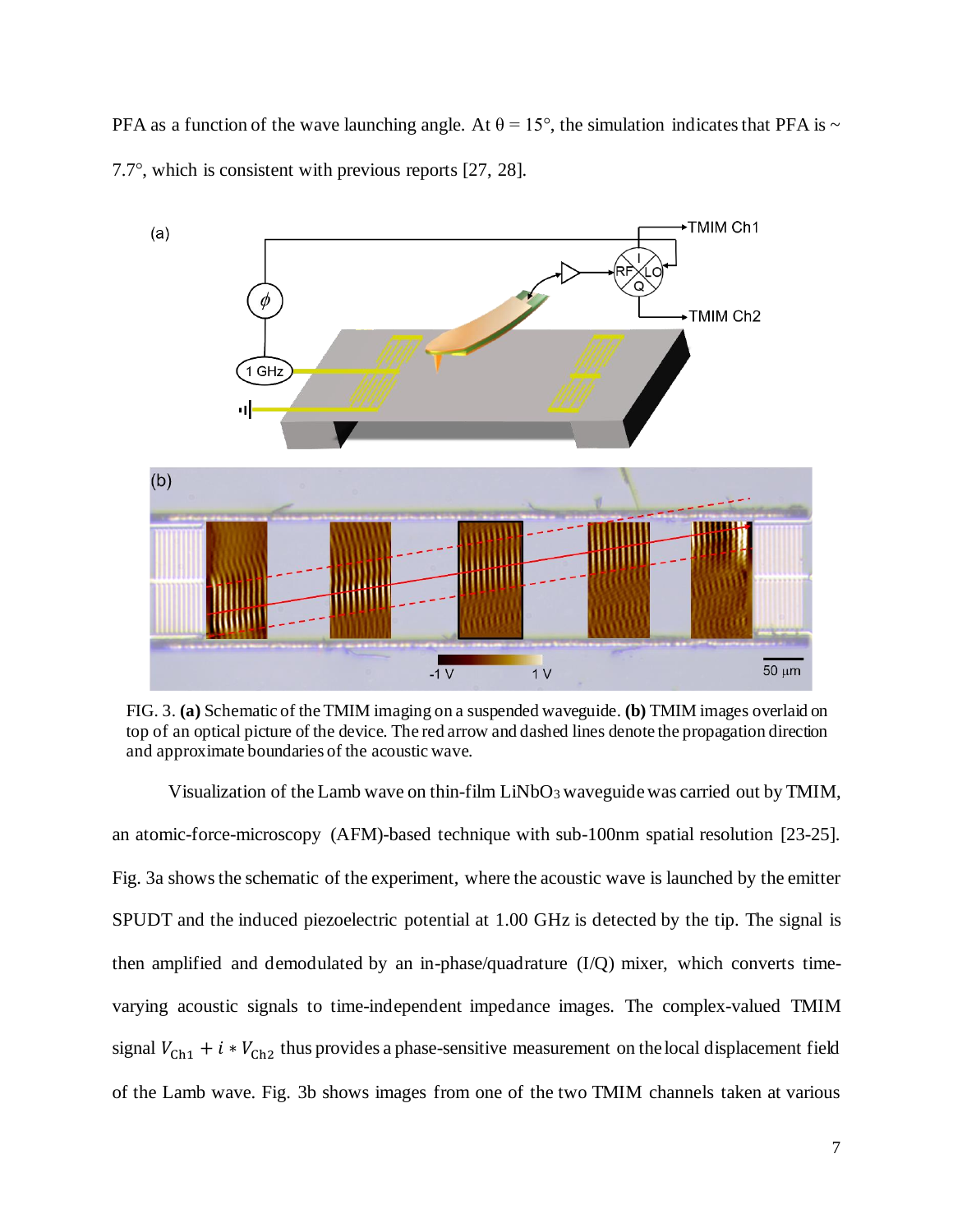PFA as a function of the wave launching angle. At  $\theta = 15^{\circ}$ , the simulation indicates that PFA is ~ 7.7°, which is consistent with previous reports [27, 28].



FIG. 3. **(a)** Schematic of the TMIM imaging on a suspended waveguide. **(b)** TMIM images overlaid on top of an optical picture of the device. The red arrow and dashed lines denote the propagation direction and approximate boundaries of the acoustic wave.

Visualization of the Lamb wave on thin-film  $LiNbO<sub>3</sub>$  waveguide was carried out by TMIM, an atomic-force-microscopy (AFM)-based technique with sub-100nm spatial resolution [23-25]. Fig. 3a shows the schematic of the experiment, where the acoustic wave is launched by the emitter SPUDT and the induced piezoelectric potential at 1.00 GHz is detected by the tip. The signal is then amplified and demodulated by an in-phase/quadrature (I/Q) mixer, which converts timevarying acoustic signals to time-independent impedance images. The complex-valued TMIM signal  $V_{\text{Ch1}} + i * V_{\text{Ch2}}$  thus provides a phase-sensitive measurement on the local displacement field of the Lamb wave. Fig. 3b shows images from one of the two TMIM channels taken at various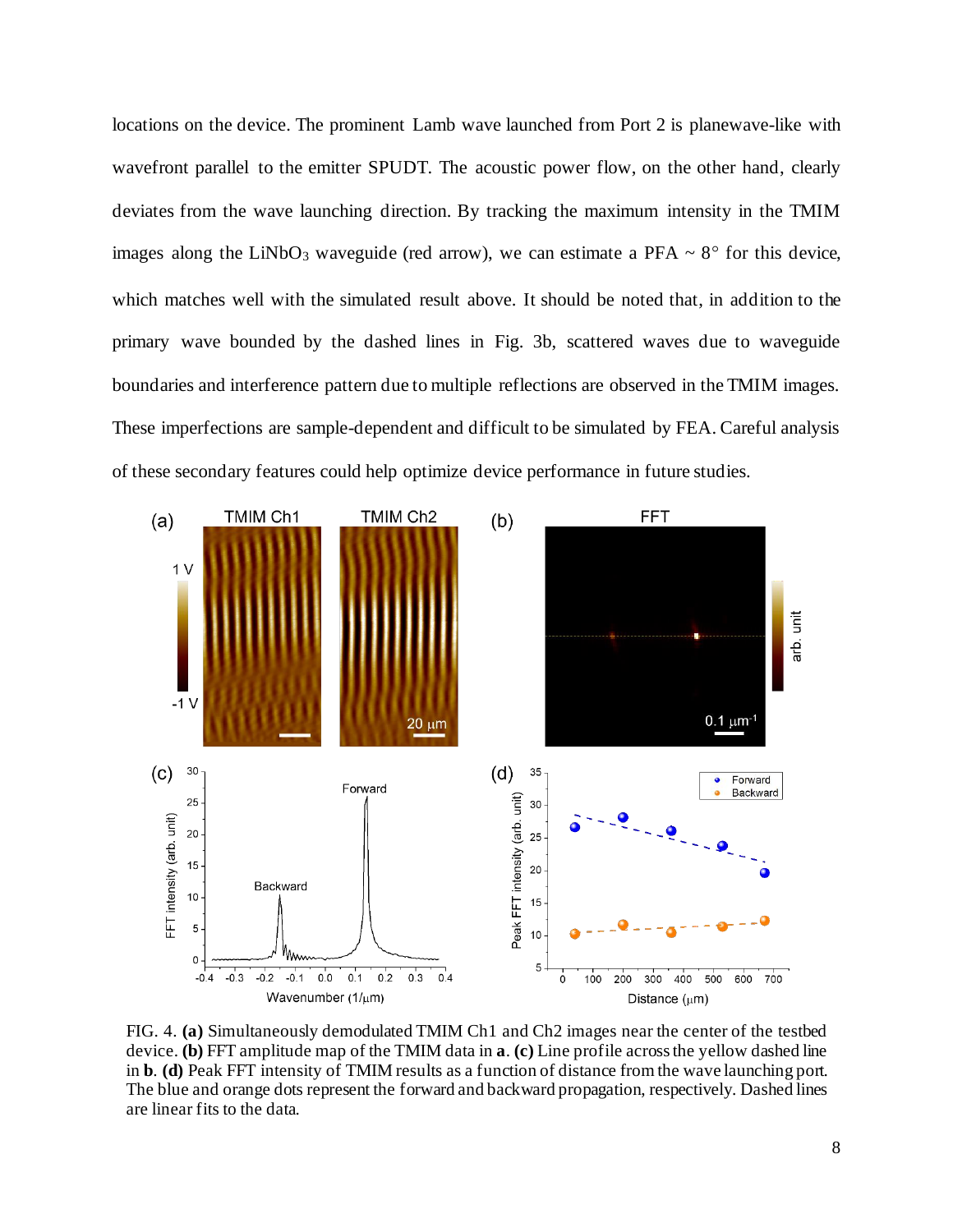locations on the device. The prominent Lamb wave launched from Port 2 is planewave-like with wavefront parallel to the emitter SPUDT. The acoustic power flow, on the other hand, clearly deviates from the wave launching direction. By tracking the maximum intensity in the TMIM images along the LiNbO<sub>3</sub> waveguide (red arrow), we can estimate a PFA  $\sim 8^{\circ}$  for this device, which matches well with the simulated result above. It should be noted that, in addition to the primary wave bounded by the dashed lines in Fig. 3b, scattered waves due to waveguide boundaries and interference pattern due to multiple reflections are observed in the TMIM images. These imperfections are sample-dependent and difficult to be simulated by FEA. Careful analysis of these secondary features could help optimize device performance in future studies.



FIG. 4. **(a)** Simultaneously demodulated TMIM Ch1 and Ch2 images near the center of the testbed device. **(b)** FFT amplitude map of the TMIM data in **a**. **(c)** Line profile across the yellow dashed line in **b**. **(d)** Peak FFT intensity of TMIM results as a function of distance from the wave launching port. The blue and orange dots represent the forward and backward propagation, respectively. Dashed lines are linear fits to the data.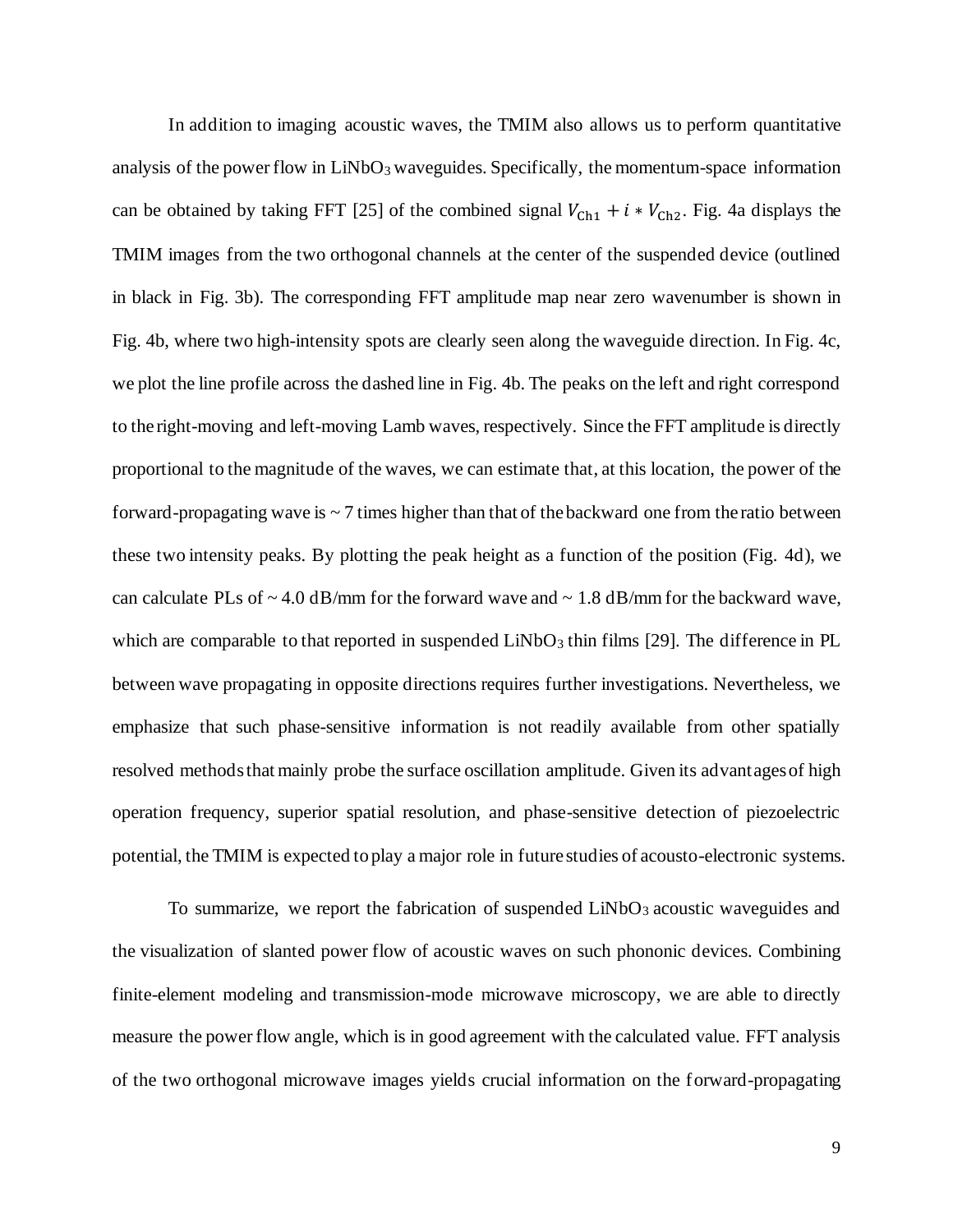In addition to imaging acoustic waves, the TMIM also allows us to perform quantitative analysis of the power flow in  $LiNbO<sub>3</sub>$  waveguides. Specifically, the momentum-space information can be obtained by taking FFT [25] of the combined signal  $V_{\text{Ch1}} + i * V_{\text{Ch2}}$ . Fig. 4a displays the TMIM images from the two orthogonal channels at the center of the suspended device (outlined in black in Fig. 3b). The corresponding FFT amplitude map near zero wavenumber is shown in Fig. 4b, where two high-intensity spots are clearly seen along the waveguide direction. In Fig. 4c, we plot the line profile across the dashed line in Fig. 4b. The peaks on the left and right correspond to the right-moving and left-moving Lamb waves, respectively. Since the FFT amplitude is directly proportional to the magnitude of the waves, we can estimate that, at this location, the power of the forward-propagating wave is  $\sim$  7 times higher than that of the backward one from the ratio between these two intensity peaks. By plotting the peak height as a function of the position (Fig. 4d), we can calculate PLs of  $\sim$  4.0 dB/mm for the forward wave and  $\sim$  1.8 dB/mm for the backward wave, which are comparable to that reported in suspended LiNbO<sub>3</sub> thin films [29]. The difference in PL between wave propagating in opposite directions requires further investigations. Nevertheless, we emphasize that such phase-sensitive information is not readily available from other spatially resolved methods that mainly probe the surface oscillation amplitude. Given its advantages of high operation frequency, superior spatial resolution, and phase-sensitive detection of piezoelectric potential, the TMIM is expected to play a major role in future studies of acousto-electronic systems.

To summarize, we report the fabrication of suspended LiNbO<sub>3</sub> acoustic waveguides and the visualization of slanted power flow of acoustic waves on such phononic devices. Combining finite-element modeling and transmission-mode microwave microscopy, we are able to directly measure the power flow angle, which is in good agreement with the calculated value. FFT analysis of the two orthogonal microwave images yields crucial information on the forward-propagating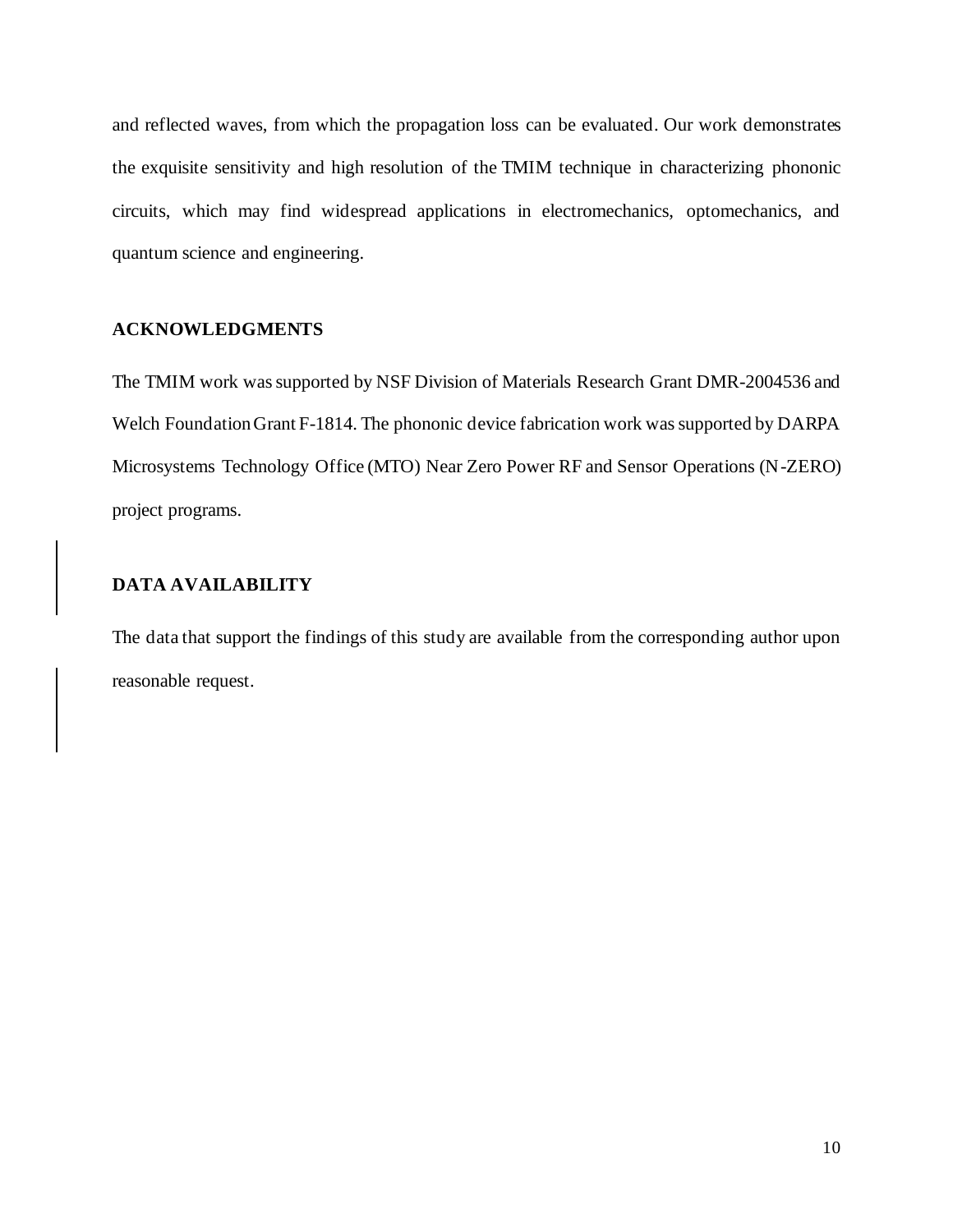and reflected waves, from which the propagation loss can be evaluated. Our work demonstrates the exquisite sensitivity and high resolution of the TMIM technique in characterizing phononic circuits, which may find widespread applications in electromechanics, optomechanics, and quantum science and engineering.

#### **ACKNOWLEDGMENTS**

The TMIM work was supported by NSF Division of Materials Research Grant DMR-2004536 and Welch Foundation Grant F-1814. The phononic device fabrication work was supported by DARPA Microsystems Technology Office (MTO) Near Zero Power RF and Sensor Operations (N-ZERO) project programs.

## **DATA AVAILABILITY**

The data that support the findings of this study are available from the corresponding author upon reasonable request.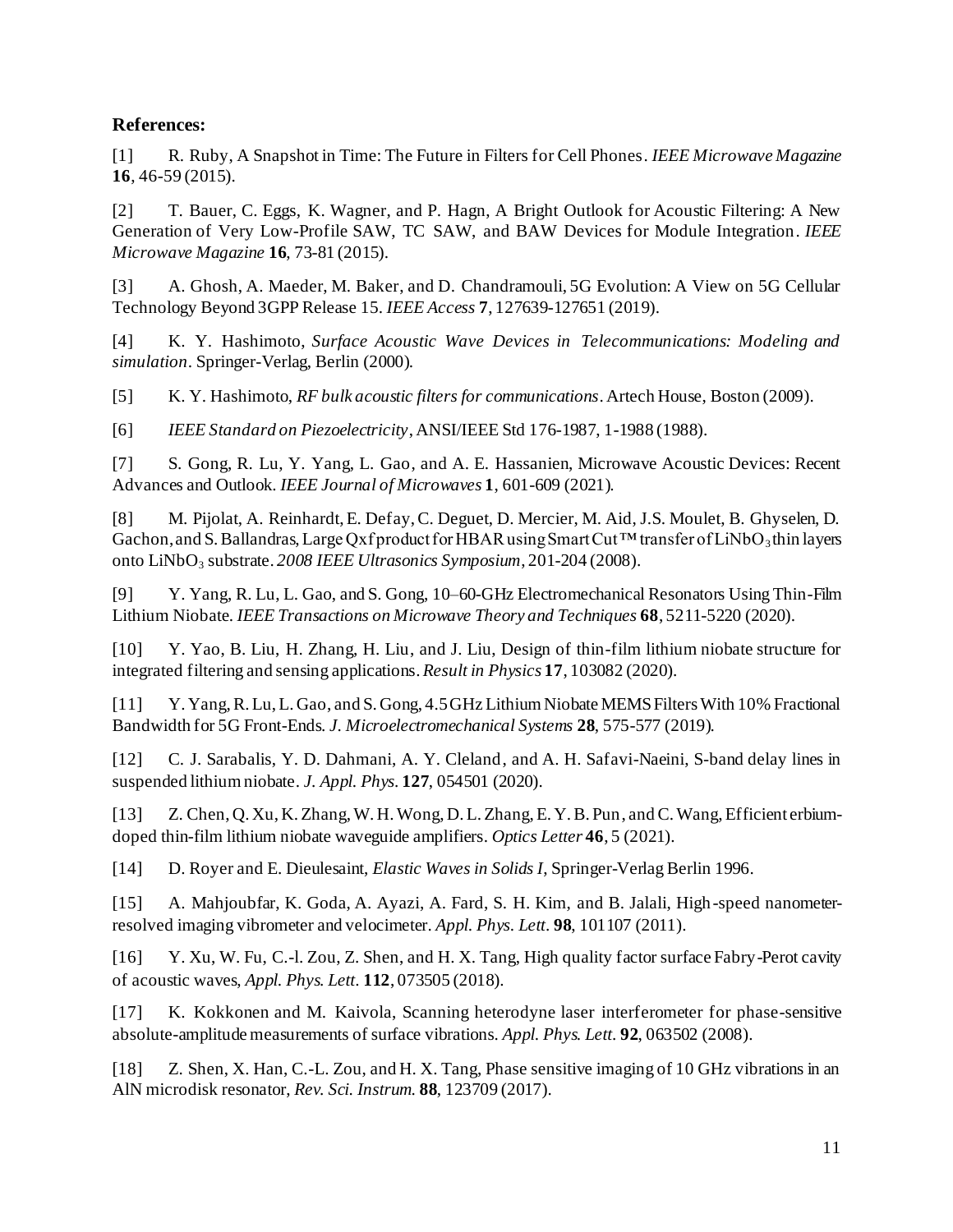### **References:**

[1] R. Ruby, A Snapshot in Time: The Future in Filters for Cell Phones. *IEEE Microwave Magazine* **16**, 46-59 (2015).

[2] T. Bauer, C. Eggs, K. Wagner, and P. Hagn, A Bright Outlook for Acoustic Filtering: A New Generation of Very Low-Profile SAW, TC SAW, and BAW Devices for Module Integration. *IEEE Microwave Magazine* **16**, 73-81 (2015).

[3] A. Ghosh, A. Maeder, M. Baker, and D. Chandramouli, 5G Evolution: A View on 5G Cellular Technology Beyond 3GPP Release 15. *IEEE Access* **7**, 127639-127651 (2019).

[4] K. Y. Hashimoto, *Surface Acoustic Wave Devices in Telecommunications: Modeling and simulation*. Springer-Verlag, Berlin (2000).

[5] K. Y. Hashimoto, *RF bulk acoustic filters for communications*. Artech House, Boston (2009).

[6] *IEEE Standard on Piezoelectricity*, ANSI/IEEE Std 176-1987, 1-1988 (1988).

[7] S. Gong, R. Lu, Y. Yang, L. Gao, and A. E. Hassanien, Microwave Acoustic Devices: Recent Advances and Outlook. *IEEE Journal of Microwaves* **1**, 601-609 (2021).

[8] M. Pijolat, A. Reinhardt, E. Defay, C. Deguet, D. Mercier, M. Aid, J.S. Moulet, B. Ghyselen, D. Gachon, and S. Ballandras, Large Qxf product for HBAR using Smart Cut<sup>TM</sup> transfer of LiNbO<sub>3</sub> thin layers onto LiNbO<sub>3</sub> substrate. *2008 IEEE Ultrasonics Symposium*, 201-204 (2008).

[9] Y. Yang, R. Lu, L. Gao, and S. Gong, 10–60-GHz Electromechanical Resonators Using Thin-Film Lithium Niobate. *IEEE Transactions on Microwave Theory and Techniques* **68**, 5211-5220 (2020).

[10] Y. Yao, B. Liu, H. Zhang, H. Liu, and J. Liu, Design of thin-film lithium niobate structure for integrated filtering and sensing applications.*Result in Physics* **17**, 103082 (2020).

[11] Y. Yang, R. Lu, L. Gao, and S. Gong, 4.5 GHz Lithium Niobate MEMS Filters With 10% Fractional Bandwidth for 5G Front-Ends. *J. Microelectromechanical Systems* **28**, 575-577 (2019).

[12] C. J. Sarabalis, Y. D. Dahmani, A. Y. Cleland, and A. H. Safavi-Naeini, S-band delay lines in suspended lithium niobate. *J. Appl. Phys.* **127**, 054501 (2020).

[13] Z. Chen, Q. Xu, K. Zhang, W. H. Wong, D. L. Zhang, E. Y. B. Pun, and C. Wang, Efficient erbiumdoped thin-film lithium niobate waveguide amplifiers. *Optics Letter* **46**, 5 (2021).

[14] D. Royer and E. Dieulesaint, *Elastic Waves in Solids I*, Springer-Verlag Berlin 1996.

[15] A. Mahjoubfar, K. Goda, A. Ayazi, A. Fard, S. H. Kim, and B. Jalali, High-speed nanometerresolved imaging vibrometer and velocimeter. *Appl. Phys. Lett*. **98**, 101107 (2011).

[16] Y. Xu, W. Fu, C.-l. Zou, Z. Shen, and H. X. Tang, High quality factor surface Fabry-Perot cavity of acoustic waves, *Appl. Phys. Lett*. **112**, 073505 (2018).

[17] K. Kokkonen and M. Kaivola, Scanning heterodyne laser interferometer for phase-sensitive absolute-amplitude measurements of surface vibrations. *Appl. Phys. Lett*. **92**, 063502 (2008).

[18] Z. Shen, X. Han, C.-L. Zou, and H. X. Tang, Phase sensitive imaging of 10 GHz vibrations in an AlN microdisk resonator, *Rev. Sci. Instrum*. **88**, 123709 (2017).